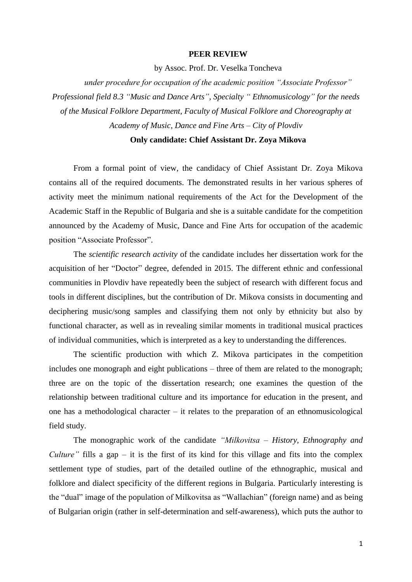## **PEER REVIEW**

by Assoc. Prof. Dr. Veselka Toncheva

*under procedure for occupation of the academic position "Associate Professor" Professional field 8.3 "Music and Dance Arts", Specialty " Ethnomusicology" for the needs of the Musical Folklore Department, Faculty of Musical Folklore and Choreography at Academy of Music, Dance and Fine Arts – City of Plovdiv*

## **Only candidate: Chief Assistant Dr. Zoya Mikova**

From a formal point of view, the candidacy of Chief Assistant Dr. Zoya Mikova contains all of the required documents. The demonstrated results in her various spheres of activity meet the minimum national requirements of the Act for the Development of the Academic Staff in the Republic of Bulgaria and she is a suitable candidate for the competition announced by the Academy of Music, Dance and Fine Arts for occupation of the academic position "Associate Professor".

The *scientific research activity* of the candidate includes her dissertation work for the acquisition of her "Doctor" degree, defended in 2015. The different ethnic and confessional communities in Plovdiv have repeatedly been the subject of research with different focus and tools in different disciplines, but the contribution of Dr. Mikova consists in documenting and deciphering music/song samples and classifying them not only by ethnicity but also by functional character, as well as in revealing similar moments in traditional musical practices of individual communities, which is interpreted as a key to understanding the differences.

The scientific production with which Z. Mikova participates in the competition includes one monograph and eight publications – three of them are related to the monograph; three are on the topic of the dissertation research; one examines the question of the relationship between traditional culture and its importance for education in the present, and one has a methodological character – it relates to the preparation of an ethnomusicological field study.

The monographic work of the candidate *"Milkovitsa – History, Ethnography and Culture*" fills a gap – it is the first of its kind for this village and fits into the complex settlement type of studies, part of the detailed outline of the ethnographic, musical and folklore and dialect specificity of the different regions in Bulgaria. Particularly interesting is the "dual" image of the population of Milkovitsa as "Wallachian" (foreign name) and as being of Bulgarian origin (rather in self-determination and self-awareness), which puts the author to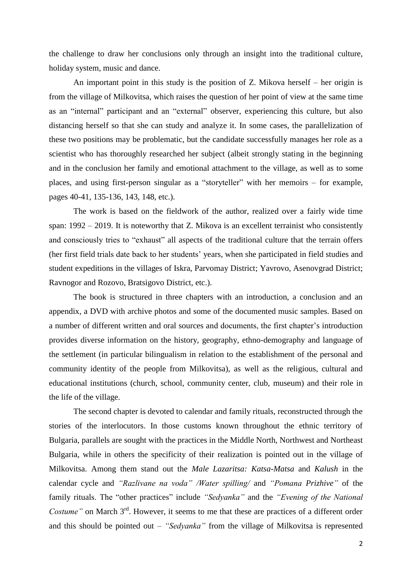the challenge to draw her conclusions only through an insight into the traditional culture, holiday system, music and dance.

An important point in this study is the position of Z. Mikova herself – her origin is from the village of Milkovitsa, which raises the question of her point of view at the same time as an "internal" participant and an "external" observer, experiencing this culture, but also distancing herself so that she can study and analyze it. In some cases, the parallelization of these two positions may be problematic, but the candidate successfully manages her role as a scientist who has thoroughly researched her subject (albeit strongly stating in the beginning and in the conclusion her family and emotional attachment to the village, as well as to some places, and using first-person singular as a "storyteller" with her memoirs – for example, pages 40-41, 135-136, 143, 148, etc.).

The work is based on the fieldwork of the author, realized over a fairly wide time span: 1992 – 2019. It is noteworthy that Z. Mikova is an excellent terrainist who consistently and consciously tries to "exhaust" all aspects of the traditional culture that the terrain offers (her first field trials date back to her students' years, when she participated in field studies and student expeditions in the villages of Iskra, Parvomay District; Yavrovo, Asenovgrad District; Ravnogor and Rozovo, Bratsigovo District, etc.).

The book is structured in three chapters with an introduction, a conclusion and an appendix, a DVD with archive photos and some of the documented music samples. Based on a number of different written and oral sources and documents, the first chapter's introduction provides diverse information on the history, geography, ethno-demography and language of the settlement (in particular bilingualism in relation to the establishment of the personal and community identity of the people from Milkovitsa), as well as the religious, cultural and educational institutions (church, school, community center, club, museum) and their role in the life of the village.

The second chapter is devoted to calendar and family rituals, reconstructed through the stories of the interlocutors. In those customs known throughout the ethnic territory of Bulgaria, parallels are sought with the practices in the Middle North, Northwest and Northeast Bulgaria, while in others the specificity of their realization is pointed out in the village of Milkovitsa. Among them stand out the *Male Lazaritsa: Katsa-Matsa* and *Kalush* in the calendar cycle and *"Razlivane na voda" /Water spilling/* and *"Pomana Prizhive"* of the family rituals. The "other practices" include *"Sedyanka"* and the *"Evening of the National Costume*" on March 3<sup>rd</sup>. However, it seems to me that these are practices of a different order and this should be pointed out – *"Sedyanka"* from the village of Milkovitsa is represented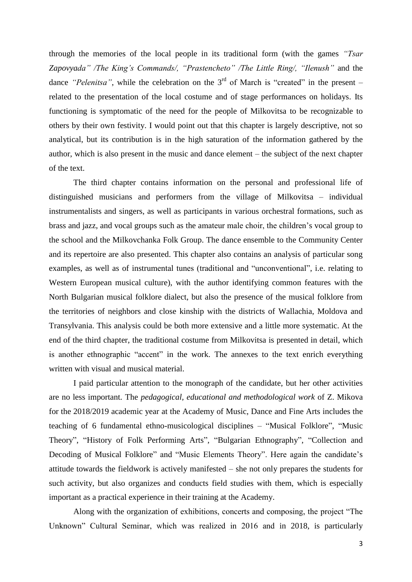through the memories of the local people in its traditional form (with the games *"Tsar Zapovyada" /The King's Commands/, "Prastencheto" /The Little Ring/, "Ilenush"* and the dance *"Pelenitsa"*, while the celebration on the  $3<sup>rd</sup>$  of March is "created" in the present – related to the presentation of the local costume and of stage performances on holidays. Its functioning is symptomatic of the need for the people of Milkovitsa to be recognizable to others by their own festivity. I would point out that this chapter is largely descriptive, not so analytical, but its contribution is in the high saturation of the information gathered by the author, which is also present in the music and dance element – the subject of the next chapter of the text.

The third chapter contains information on the personal and professional life of distinguished musicians and performers from the village of Milkovitsa – individual instrumentalists and singers, as well as participants in various orchestral formations, such as brass and jazz, and vocal groups such as the amateur male choir, the children's vocal group to the school and the Milkovchanka Folk Group. The dance ensemble to the Community Center and its repertoire are also presented. This chapter also contains an analysis of particular song examples, as well as of instrumental tunes (traditional and "unconventional", i.e. relating to Western European musical culture), with the author identifying common features with the North Bulgarian musical folklore dialect, but also the presence of the musical folklore from the territories of neighbors and close kinship with the districts of Wallachia, Moldova and Transylvania. This analysis could be both more extensive and a little more systematic. At the end of the third chapter, the traditional costume from Milkovitsa is presented in detail, which is another ethnographic "accent" in the work. The annexes to the text enrich everything written with visual and musical material.

I paid particular attention to the monograph of the candidate, but her other activities are no less important. The *pedagogical, educational and methodological work* of Z. Mikova for the 2018/2019 academic year at the Academy of Music, Dance and Fine Arts includes the teaching of 6 fundamental ethno-musicological disciplines – "Musical Folklore", "Music Theory", "History of Folk Performing Arts", "Bulgarian Ethnography", "Collection and Decoding of Musical Folklore" and "Music Elements Theory". Here again the candidate's attitude towards the fieldwork is actively manifested – she not only prepares the students for such activity, but also organizes and conducts field studies with them, which is especially important as a practical experience in their training at the Academy.

Along with the organization of exhibitions, concerts and composing, the project "The Unknown" Cultural Seminar, which was realized in 2016 and in 2018, is particularly